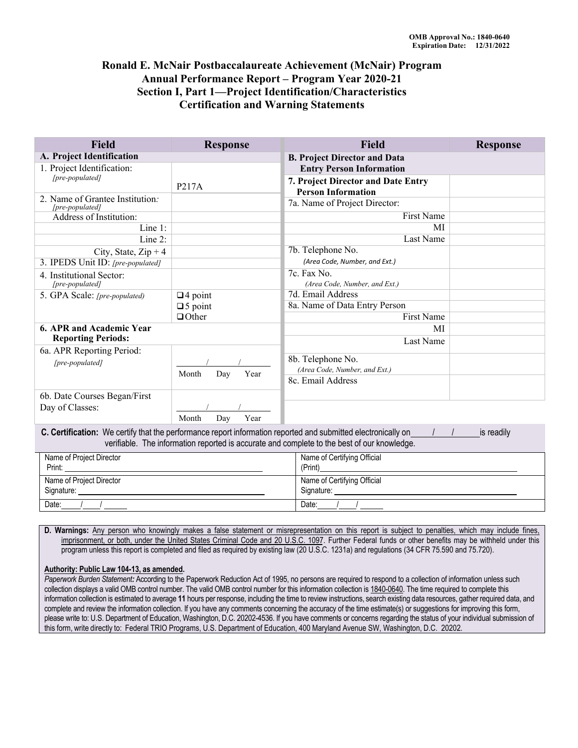## **Annual Performance Report – Program Year 2020-21 Certification and Warning Statements Ronald E. McNair Postbaccalaureate Achievement (McNair) Program Section I, Part 1—Project Identification/Characteristics**

| <b>Field</b>                                       | <b>Response</b>      | <b>Field</b>                                                    | <b>Response</b> |
|----------------------------------------------------|----------------------|-----------------------------------------------------------------|-----------------|
| A. Project Identification                          |                      | <b>B. Project Director and Data</b>                             |                 |
| 1. Project Identification:                         |                      | <b>Entry Person Information</b>                                 |                 |
| [pre-populated]                                    | P217A                | 7. Project Director and Date Entry<br><b>Person Information</b> |                 |
| 2. Name of Grantee Institution:<br>[pre-populated] |                      | 7a. Name of Project Director:                                   |                 |
| Address of Institution:                            |                      | First Name                                                      |                 |
| Line $1$ :                                         |                      | MI                                                              |                 |
| Line 2:                                            |                      | Last Name                                                       |                 |
| City, State, $Zip + 4$                             |                      | 7b. Telephone No.                                               |                 |
| 3. IPEDS Unit ID: [pre-populated]                  |                      | (Area Code, Number, and Ext.)                                   |                 |
| 4. Institutional Sector:                           |                      | 7c. Fax No.                                                     |                 |
| [pre-populated]                                    |                      | (Area Code, Number, and Ext.)                                   |                 |
| 5. GPA Scale: [pre-populated)                      | $\Box$ 4 point       | 7d. Email Address                                               |                 |
|                                                    | $\square$ 5 point    | 8a. Name of Data Entry Person                                   |                 |
|                                                    | $\Box$ Other         | First Name                                                      |                 |
| 6. APR and Academic Year                           |                      | МI                                                              |                 |
| <b>Reporting Periods:</b>                          |                      | Last Name                                                       |                 |
| 6a. APR Reporting Period:                          |                      |                                                                 |                 |
| [pre-populated]                                    |                      | 8b. Telephone No.                                               |                 |
|                                                    | Year<br>Month<br>Day | (Area Code, Number, and Ext.)                                   |                 |
|                                                    |                      | 8c. Email Address                                               |                 |
| 6b. Date Courses Began/First                       |                      |                                                                 |                 |
| Day of Classes:                                    |                      |                                                                 |                 |

**C. Certification:** We certify that the performance report information reported and submitted electronically on  $/$  / is readily verifiable. The information reported is accurate and complete to the best of our knowledge.

Month Day Year

| Name of Project Director | Name of Certifying Official |  |
|--------------------------|-----------------------------|--|
| Print:                   | (Print)                     |  |
| Name of Project Director | Name of Certifying Official |  |
| Signature:               | Signature:                  |  |
| Date:                    | Date:                       |  |

**D. Warnings:** Any person who knowingly makes a false statement or misrepresentation on this report is subject to penalties, which may include fines, imprisonment, or both, under the United States Criminal Code and 20 U.S.C. 1097. Further Federal funds or other benefits may be withheld under this program unless this report is completed and filed as required by existing law (20 U.S.C. 1231a) and regulations (34 CFR 75.590 and 75.720).

#### **Authority: Public Law 104-13, as amended.**

*Paperwork Burden Statement:* According to the Paperwork Reduction Act of 1995, no persons are required to respond to a collection of information unless such collection displays a valid OMB control number. The valid OMB control number for this information collection is 1840-0640. The time required to complete this information collection is estimated to average **11** hours per response, including the time to review instructions, search existing data resources, gather required data, and complete and review the information collection. If you have any comments concerning the accuracy of the time estimate(s) or suggestions for improving this form, please write to: U.S. Department of Education, Washington, D.C. 20202-4536. If you have comments or concerns regarding the status of your individual submission of this form, write directly to: Federal TRIO Programs, U.S. Department of Education, 400 Maryland Avenue SW, Washington, D.C. 20202.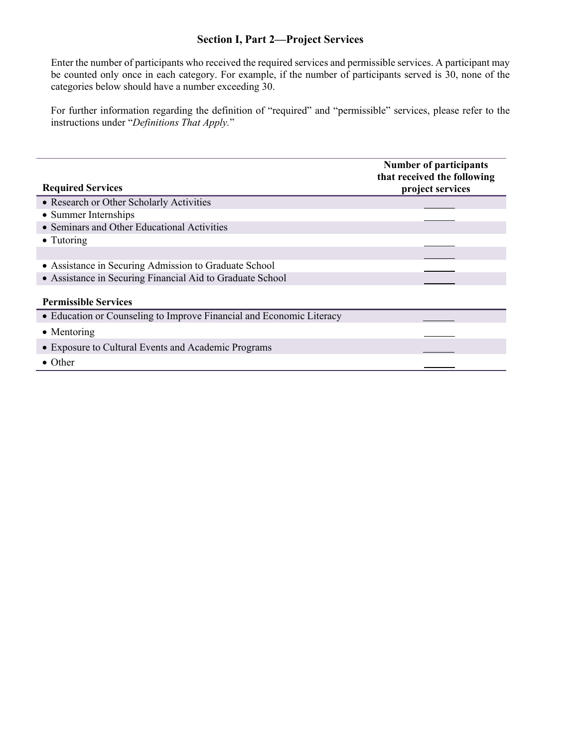## **Section I, Part 2—Project Services**

Enter the number of participants who received the required services and permissible services. A participant may be counted only once in each category. For example, if the number of participants served is 30, none of the categories below should have a number exceeding 30.

For further information regarding the definition of "required" and "permissible" services, please refer to the instructions under "*Definitions That Apply.*"

|                                                                      | <b>Number of participants</b><br>that received the following |  |
|----------------------------------------------------------------------|--------------------------------------------------------------|--|
| <b>Required Services</b>                                             | project services                                             |  |
| • Research or Other Scholarly Activities                             |                                                              |  |
| • Summer Internships                                                 |                                                              |  |
| • Seminars and Other Educational Activities                          |                                                              |  |
| $\bullet$ Tutoring                                                   |                                                              |  |
|                                                                      |                                                              |  |
| • Assistance in Securing Admission to Graduate School                |                                                              |  |
| • Assistance in Securing Financial Aid to Graduate School            |                                                              |  |
| <b>Permissible Services</b>                                          |                                                              |  |
| • Education or Counseling to Improve Financial and Economic Literacy |                                                              |  |
| $\bullet$ Mentoring                                                  |                                                              |  |
| • Exposure to Cultural Events and Academic Programs                  |                                                              |  |
| $\bullet$ Other                                                      |                                                              |  |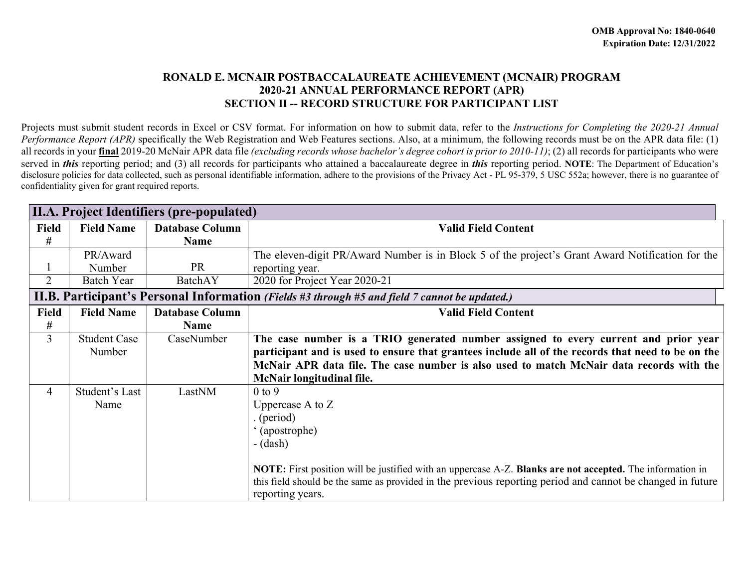### **RONALD E. MCNAIR POSTBACCALAUREATE ACHIEVEMENT (MCNAIR) PROGRAM 2020-21 ANNUAL PERFORMANCE REPORT (APR) SECTION II -- RECORD STRUCTURE FOR PARTICIPANT LIST**

 Projects must submit student records in Excel or CSV format. For information on how to submit data, refer to the *Instructions for Completing the 2020-21 Annual Performance Report (APR)* specifically the Web Registration and Web Features sections. Also, at a minimum, the following records must be on the APR data file: (1) all records in your **final** 2019-20 McNair APR data file *(excluding records whose bachelor's degree cohort is prior to 2010-11)*; (2) all records for participants who were served in *this* reporting period; and (3) all records for participants who attained a baccalaureate degree in *this* reporting period. **NOTE**: The Department of Education's disclosure policies for data collected, such as personal identifiable information, adhere to the provisions of the Privacy Act - PL 95-379, 5 USC 552a; however, there is no guarantee of confidentiality given for grant required reports.

|                | II.A. Project Identifiers (pre-populated) |                        |                                                                                                            |
|----------------|-------------------------------------------|------------------------|------------------------------------------------------------------------------------------------------------|
| <b>Field</b>   | <b>Field Name</b>                         | <b>Database Column</b> | <b>Valid Field Content</b>                                                                                 |
| #              |                                           | Name                   |                                                                                                            |
|                | PR/Award                                  |                        | The eleven-digit PR/Award Number is in Block 5 of the project's Grant Award Notification for the           |
|                | Number                                    | <b>PR</b>              | reporting year.                                                                                            |
| $\overline{2}$ | <b>Batch Year</b>                         | BatchAY                | 2020 for Project Year 2020-21                                                                              |
|                |                                           |                        | <b>II.B. Participant's Personal Information</b> (Fields #3 through #5 and field 7 cannot be updated.)      |
| <b>Field</b>   | <b>Field Name</b>                         | <b>Database Column</b> | <b>Valid Field Content</b>                                                                                 |
| #              |                                           | <b>Name</b>            |                                                                                                            |
| $\overline{3}$ | <b>Student Case</b>                       | CaseNumber             | The case number is a TRIO generated number assigned to every current and prior year                        |
|                | Number                                    |                        | participant and is used to ensure that grantees include all of the records that need to be on the          |
|                |                                           |                        | McNair APR data file. The case number is also used to match McNair data records with the                   |
|                |                                           |                        | McNair longitudinal file.                                                                                  |
| $\overline{4}$ | Student's Last                            | LastNM                 | $0$ to $9$                                                                                                 |
|                | Name                                      |                        | Uppercase $A$ to $Z$                                                                                       |
|                |                                           |                        | (period)                                                                                                   |
|                |                                           |                        | '(apostrophe)                                                                                              |
|                |                                           |                        | $-(dash)$                                                                                                  |
|                |                                           |                        |                                                                                                            |
|                |                                           |                        | NOTE: First position will be justified with an uppercase A-Z. Blanks are not accepted. The information in  |
|                |                                           |                        | this field should be the same as provided in the previous reporting period and cannot be changed in future |
|                |                                           |                        | reporting years.                                                                                           |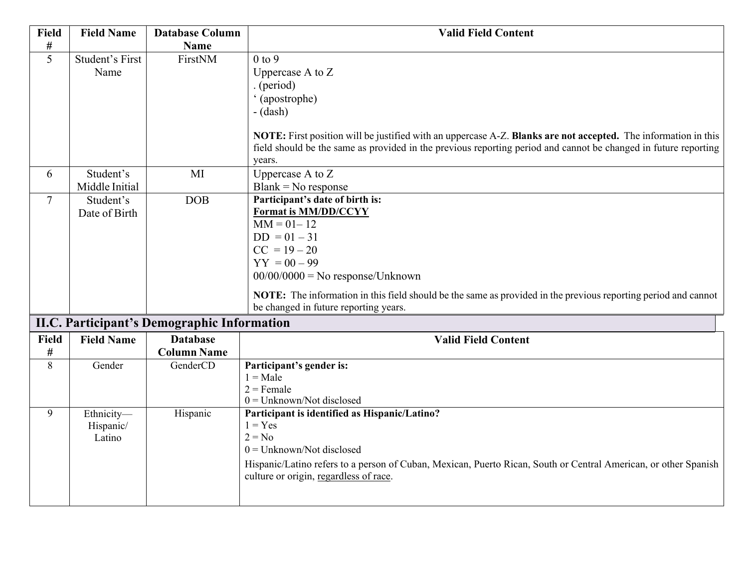| <b>Field</b>   | <b>Field Name</b> | <b>Database Column</b>                             | <b>Valid Field Content</b>                                                                                                                                                                                                                  |
|----------------|-------------------|----------------------------------------------------|---------------------------------------------------------------------------------------------------------------------------------------------------------------------------------------------------------------------------------------------|
| #              |                   | <b>Name</b>                                        |                                                                                                                                                                                                                                             |
| $\overline{5}$ | Student's First   | FirstNM                                            | $0$ to $9$                                                                                                                                                                                                                                  |
|                | Name              |                                                    | Uppercase A to Z                                                                                                                                                                                                                            |
|                |                   |                                                    | (period)                                                                                                                                                                                                                                    |
|                |                   |                                                    | '(apostrophe)                                                                                                                                                                                                                               |
|                |                   |                                                    | $-(dash)$                                                                                                                                                                                                                                   |
|                |                   |                                                    | NOTE: First position will be justified with an uppercase A-Z. Blanks are not accepted. The information in this<br>field should be the same as provided in the previous reporting period and cannot be changed in future reporting<br>years. |
| 6              | Student's         | MI                                                 | Uppercase A to $\overline{Z}$                                                                                                                                                                                                               |
|                | Middle Initial    |                                                    | $Blank = No$ response                                                                                                                                                                                                                       |
| $\tau$         | Student's         | <b>DOB</b>                                         | Participant's date of birth is:                                                                                                                                                                                                             |
|                | Date of Birth     |                                                    | Format is MM/DD/CCYY                                                                                                                                                                                                                        |
|                |                   |                                                    | $MM = 01 - 12$                                                                                                                                                                                                                              |
|                |                   |                                                    | $DD = 01 - 31$                                                                                                                                                                                                                              |
|                |                   |                                                    | $CC = 19 - 20$                                                                                                                                                                                                                              |
|                |                   |                                                    | $YY = 00 - 99$                                                                                                                                                                                                                              |
|                |                   |                                                    | $00/00/0000 =$ No response/Unknown                                                                                                                                                                                                          |
|                |                   |                                                    | NOTE: The information in this field should be the same as provided in the previous reporting period and cannot<br>be changed in future reporting years.                                                                                     |
|                |                   | <b>II.C. Participant's Demographic Information</b> |                                                                                                                                                                                                                                             |
| <b>Field</b>   | <b>Field Name</b> | <b>Database</b>                                    | <b>Valid Field Content</b>                                                                                                                                                                                                                  |
| $\#$           |                   | <b>Column Name</b>                                 |                                                                                                                                                                                                                                             |
| $\overline{8}$ | Gender            | GenderCD                                           | Participant's gender is:                                                                                                                                                                                                                    |
|                |                   |                                                    | $1 = Male$                                                                                                                                                                                                                                  |
|                |                   |                                                    | $2$ = Female<br>$0 =$ Unknown/Not disclosed                                                                                                                                                                                                 |
| 9              | Ethnicity-        | Hispanic                                           | Participant is identified as Hispanic/Latino?                                                                                                                                                                                               |
|                | Hispanic/         |                                                    | $1 = Yes$                                                                                                                                                                                                                                   |
|                | Latino            |                                                    | $2 = No$                                                                                                                                                                                                                                    |
|                |                   |                                                    | $0 =$ Unknown/Not disclosed                                                                                                                                                                                                                 |
|                |                   |                                                    | Hispanic/Latino refers to a person of Cuban, Mexican, Puerto Rican, South or Central American, or other Spanish                                                                                                                             |
|                |                   |                                                    | culture or origin, regardless of race.                                                                                                                                                                                                      |
|                |                   |                                                    |                                                                                                                                                                                                                                             |
|                |                   |                                                    |                                                                                                                                                                                                                                             |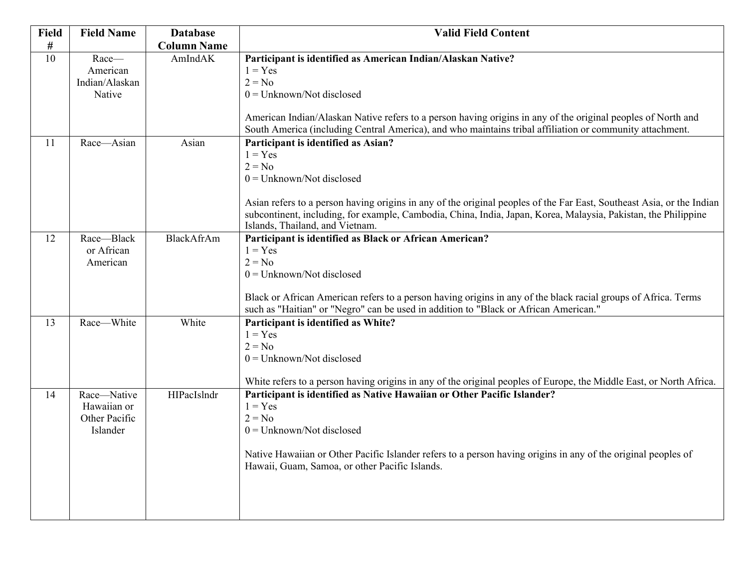| Field           | <b>Field Name</b>                                       | <b>Database</b>    | <b>Valid Field Content</b>                                                                                                                                                                                                                                                                                                                                                |
|-----------------|---------------------------------------------------------|--------------------|---------------------------------------------------------------------------------------------------------------------------------------------------------------------------------------------------------------------------------------------------------------------------------------------------------------------------------------------------------------------------|
| #               |                                                         | <b>Column Name</b> |                                                                                                                                                                                                                                                                                                                                                                           |
| $\overline{10}$ | Race-<br>American<br>Indian/Alaskan                     | AmIndAK            | Participant is identified as American Indian/Alaskan Native?<br>$1 = Yes$<br>$2 = No$                                                                                                                                                                                                                                                                                     |
|                 | Native                                                  |                    | $0 =$ Unknown/Not disclosed<br>American Indian/Alaskan Native refers to a person having origins in any of the original peoples of North and<br>South America (including Central America), and who maintains tribal affiliation or community attachment.                                                                                                                   |
| 11              | Race-Asian                                              | Asian              | Participant is identified as Asian?<br>$1 = Yes$<br>$2 = No$<br>$0 =$ Unknown/Not disclosed<br>Asian refers to a person having origins in any of the original peoples of the Far East, Southeast Asia, or the Indian<br>subcontinent, including, for example, Cambodia, China, India, Japan, Korea, Malaysia, Pakistan, the Philippine<br>Islands, Thailand, and Vietnam. |
| 12              | Race-Black<br>or African<br>American                    | BlackAfrAm         | Participant is identified as Black or African American?<br>$1 = Yes$<br>$2 = No$<br>$0 =$ Unknown/Not disclosed<br>Black or African American refers to a person having origins in any of the black racial groups of Africa. Terms<br>such as "Haitian" or "Negro" can be used in addition to "Black or African American."                                                 |
| 13              | Race-White                                              | White              | Participant is identified as White?<br>$1 = Yes$<br>$2 = No$<br>$0 =$ Unknown/Not disclosed<br>White refers to a person having origins in any of the original peoples of Europe, the Middle East, or North Africa.                                                                                                                                                        |
| 14              | Race-Native<br>Hawaiian or<br>Other Pacific<br>Islander | HIPacIslndr        | Participant is identified as Native Hawaiian or Other Pacific Islander?<br>$1 = Yes$<br>$2 = No$<br>$0 =$ Unknown/Not disclosed<br>Native Hawaiian or Other Pacific Islander refers to a person having origins in any of the original peoples of<br>Hawaii, Guam, Samoa, or other Pacific Islands.                                                                        |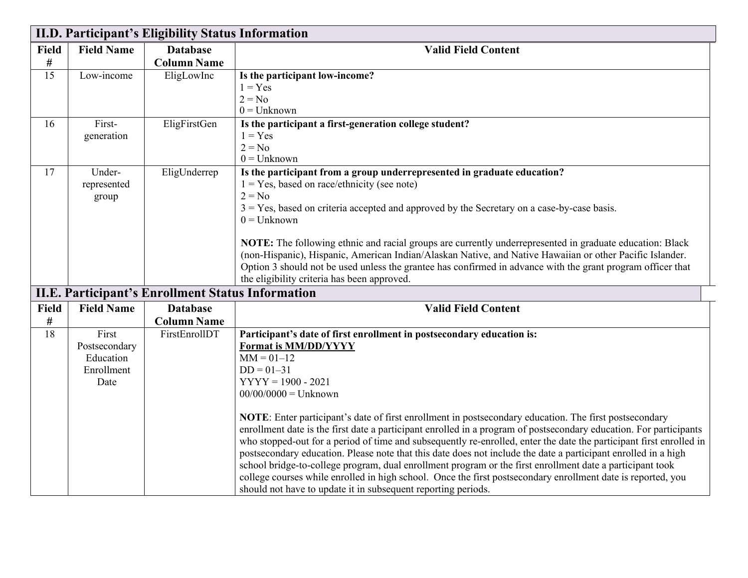|                 | II.D. Participant's Eligibility Status Information        |                                                          |                                                                                                                                                                                                                                                                                                                                                                                                                                                                                                                                                                                                                                                                                                                                                                                                                                                                                                                                                            |  |
|-----------------|-----------------------------------------------------------|----------------------------------------------------------|------------------------------------------------------------------------------------------------------------------------------------------------------------------------------------------------------------------------------------------------------------------------------------------------------------------------------------------------------------------------------------------------------------------------------------------------------------------------------------------------------------------------------------------------------------------------------------------------------------------------------------------------------------------------------------------------------------------------------------------------------------------------------------------------------------------------------------------------------------------------------------------------------------------------------------------------------------|--|
| <b>Field</b>    | <b>Field Name</b>                                         | <b>Database</b>                                          | <b>Valid Field Content</b>                                                                                                                                                                                                                                                                                                                                                                                                                                                                                                                                                                                                                                                                                                                                                                                                                                                                                                                                 |  |
| #               |                                                           | <b>Column Name</b>                                       |                                                                                                                                                                                                                                                                                                                                                                                                                                                                                                                                                                                                                                                                                                                                                                                                                                                                                                                                                            |  |
| $\overline{15}$ | Low-income                                                | EligLowInc                                               | Is the participant low-income?<br>$1 = Yes$<br>$2 = No$<br>$0 =$ Unknown                                                                                                                                                                                                                                                                                                                                                                                                                                                                                                                                                                                                                                                                                                                                                                                                                                                                                   |  |
| 16              | First-<br>generation                                      | EligFirstGen                                             | Is the participant a first-generation college student?<br>$1 = Yes$<br>$2 = No$<br>$0 =$ Unknown                                                                                                                                                                                                                                                                                                                                                                                                                                                                                                                                                                                                                                                                                                                                                                                                                                                           |  |
| 17              | Under-<br>represented<br>group                            | EligUnderrep                                             | Is the participant from a group underrepresented in graduate education?<br>$1 = Yes$ , based on race/ethnicity (see note)<br>$2 = No$<br>$3 = Yes$ , based on criteria accepted and approved by the Secretary on a case-by-case basis.<br>$0 =$ Unknown<br>NOTE: The following ethnic and racial groups are currently underrepresented in graduate education: Black<br>(non-Hispanic), Hispanic, American Indian/Alaskan Native, and Native Hawaiian or other Pacific Islander.<br>Option 3 should not be used unless the grantee has confirmed in advance with the grant program officer that<br>the eligibility criteria has been approved.                                                                                                                                                                                                                                                                                                              |  |
|                 |                                                           | <b>II.E. Participant's Enrollment Status Information</b> |                                                                                                                                                                                                                                                                                                                                                                                                                                                                                                                                                                                                                                                                                                                                                                                                                                                                                                                                                            |  |
| Field           | <b>Field Name</b>                                         | <b>Database</b>                                          | <b>Valid Field Content</b>                                                                                                                                                                                                                                                                                                                                                                                                                                                                                                                                                                                                                                                                                                                                                                                                                                                                                                                                 |  |
| $\#$            |                                                           | <b>Column Name</b>                                       |                                                                                                                                                                                                                                                                                                                                                                                                                                                                                                                                                                                                                                                                                                                                                                                                                                                                                                                                                            |  |
| 18              | First<br>Postsecondary<br>Education<br>Enrollment<br>Date | FirstEnrollDT                                            | Participant's date of first enrollment in postsecondary education is:<br>Format is MM/DD/YYYY<br>$MM = 01 - 12$<br>$DD = 01 - 31$<br>$YYYY = 1900 - 2021$<br>$00/00/0000 =$ Unknown<br>NOTE: Enter participant's date of first enrollment in postsecondary education. The first postsecondary<br>enrollment date is the first date a participant enrolled in a program of postsecondary education. For participants<br>who stopped-out for a period of time and subsequently re-enrolled, enter the date the participant first enrolled in<br>postsecondary education. Please note that this date does not include the date a participant enrolled in a high<br>school bridge-to-college program, dual enrollment program or the first enrollment date a participant took<br>college courses while enrolled in high school. Once the first postsecondary enrollment date is reported, you<br>should not have to update it in subsequent reporting periods. |  |

I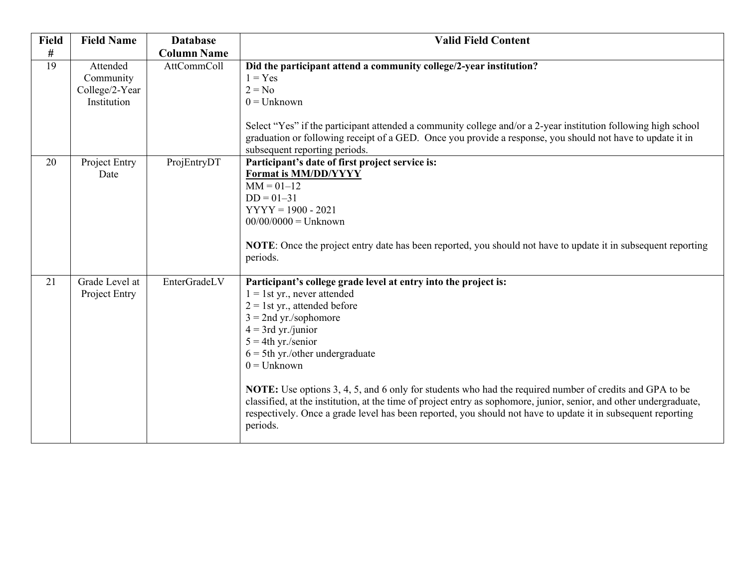| <b>Field</b> | <b>Field Name</b>                                      | <b>Database</b>    | <b>Valid Field Content</b>                                                                                                                                                                                                                                                                                                                                                                                                                                                                                                                                                                                                            |
|--------------|--------------------------------------------------------|--------------------|---------------------------------------------------------------------------------------------------------------------------------------------------------------------------------------------------------------------------------------------------------------------------------------------------------------------------------------------------------------------------------------------------------------------------------------------------------------------------------------------------------------------------------------------------------------------------------------------------------------------------------------|
| $\#$         |                                                        | <b>Column Name</b> |                                                                                                                                                                                                                                                                                                                                                                                                                                                                                                                                                                                                                                       |
| 19           | Attended<br>Community<br>College/2-Year<br>Institution | AttCommColl        | Did the participant attend a community college/2-year institution?<br>$1 = Yes$<br>$2 = No$<br>$0 =$ Unknown<br>Select "Yes" if the participant attended a community college and/or a 2-year institution following high school<br>graduation or following receipt of a GED. Once you provide a response, you should not have to update it in<br>subsequent reporting periods.                                                                                                                                                                                                                                                         |
| 20           | Project Entry<br>Date                                  | ProjEntryDT        | Participant's date of first project service is:<br><b>Format is MM/DD/YYYY</b><br>$MM = 01 - 12$<br>$DD = 01 - 31$<br>$YYYY = 1900 - 2021$<br>$00/00/0000 =$ Unknown<br><b>NOTE:</b> Once the project entry date has been reported, you should not have to update it in subsequent reporting<br>periods.                                                                                                                                                                                                                                                                                                                              |
| 21           | Grade Level at<br>Project Entry                        | EnterGradeLV       | Participant's college grade level at entry into the project is:<br>$1 = 1$ st yr., never attended<br>$2 = 1$ st yr., attended before<br>$3 = 2nd yr./sophomore$<br>$4 = 3rd$ yr./junior<br>$5 = 4$ th yr./senior<br>$6 = 5$ th yr./other undergraduate<br>$0 =$ Unknown<br>NOTE: Use options 3, 4, 5, and 6 only for students who had the required number of credits and GPA to be<br>classified, at the institution, at the time of project entry as sophomore, junior, senior, and other undergraduate,<br>respectively. Once a grade level has been reported, you should not have to update it in subsequent reporting<br>periods. |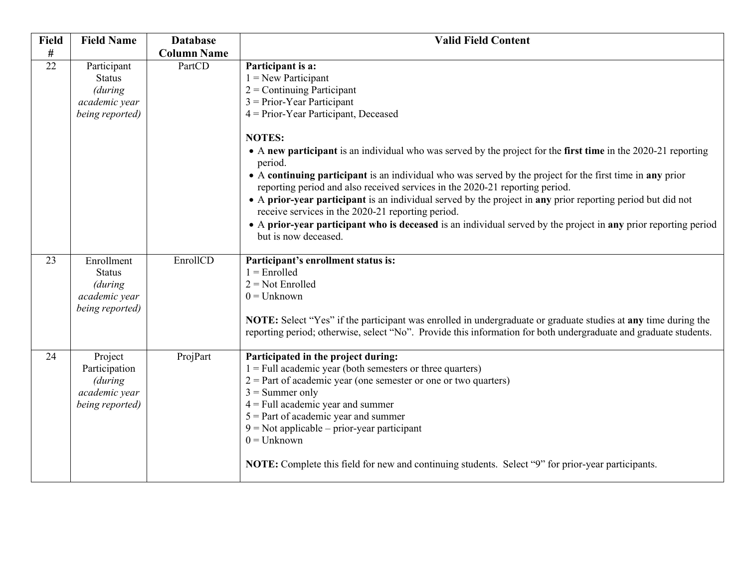| <b>Field</b> | <b>Field Name</b>                                                           | <b>Database</b>    | <b>Valid Field Content</b>                                                                                                                                                                                                                                                                                                                                                                                                                                                                                                                                                                                                                             |
|--------------|-----------------------------------------------------------------------------|--------------------|--------------------------------------------------------------------------------------------------------------------------------------------------------------------------------------------------------------------------------------------------------------------------------------------------------------------------------------------------------------------------------------------------------------------------------------------------------------------------------------------------------------------------------------------------------------------------------------------------------------------------------------------------------|
| $\#$         |                                                                             | <b>Column Name</b> |                                                                                                                                                                                                                                                                                                                                                                                                                                                                                                                                                                                                                                                        |
| 22           | Participant<br><b>Status</b><br>(during<br>academic year<br>being reported) | PartCD             | Participant is a:<br>$1 =$ New Participant<br>$2$ = Continuing Participant<br>$3 = Prior-Year$ Participant<br>4 = Prior-Year Participant, Deceased                                                                                                                                                                                                                                                                                                                                                                                                                                                                                                     |
|              |                                                                             |                    | <b>NOTES:</b><br>• A new participant is an individual who was served by the project for the first time in the 2020-21 reporting<br>period.<br>• A continuing participant is an individual who was served by the project for the first time in any prior<br>reporting period and also received services in the 2020-21 reporting period.<br>• A prior-year participant is an individual served by the project in any prior reporting period but did not<br>receive services in the 2020-21 reporting period.<br>• A prior-year participant who is deceased is an individual served by the project in any prior reporting period<br>but is now deceased. |
| 23           | Enrollment<br><b>Status</b><br>(during<br>academic year<br>being reported)  | EnrollCD           | Participant's enrollment status is:<br>$1 =$ Enrolled<br>$2 = Not Enrolled$<br>$0 =$ Unknown<br>NOTE: Select "Yes" if the participant was enrolled in undergraduate or graduate studies at any time during the<br>reporting period; otherwise, select "No". Provide this information for both undergraduate and graduate students.                                                                                                                                                                                                                                                                                                                     |
| 24           | Project<br>Participation<br>(during<br>academic year<br>being reported)     | ProjPart           | Participated in the project during:<br>$1 =$ Full academic year (both semesters or three quarters)<br>$2$ = Part of academic year (one semester or one or two quarters)<br>$3 =$ Summer only<br>$4$ = Full academic year and summer<br>$5$ = Part of academic year and summer<br>$9$ = Not applicable – prior-year participant<br>$0 =$ Unknown<br>NOTE: Complete this field for new and continuing students. Select "9" for prior-year participants.                                                                                                                                                                                                  |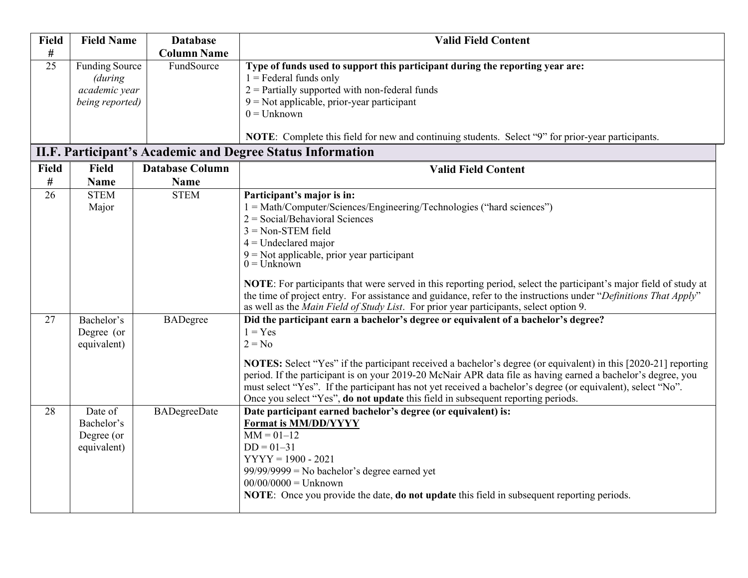| <b>Field</b><br>$\#$ | <b>Field Name</b>                                                    | <b>Database</b><br><b>Column Name</b> | <b>Valid Field Content</b>                                                                                                                                                                                                                                                                                                                                                                                                                                                                                                                                                                            |
|----------------------|----------------------------------------------------------------------|---------------------------------------|-------------------------------------------------------------------------------------------------------------------------------------------------------------------------------------------------------------------------------------------------------------------------------------------------------------------------------------------------------------------------------------------------------------------------------------------------------------------------------------------------------------------------------------------------------------------------------------------------------|
| 25                   | <b>Funding Source</b><br>(during<br>academic year<br>being reported) | FundSource                            | Type of funds used to support this participant during the reporting year are:<br>$1 =$ Federal funds only<br>$2$ = Partially supported with non-federal funds<br>$9$ = Not applicable, prior-year participant<br>$0 =$ Unknown<br><b>NOTE:</b> Complete this field for new and continuing students. Select "9" for prior-year participants.                                                                                                                                                                                                                                                           |
|                      |                                                                      |                                       | <b>II.F. Participant's Academic and Degree Status Information</b>                                                                                                                                                                                                                                                                                                                                                                                                                                                                                                                                     |
| Field<br>#           | <b>Field</b><br><b>Name</b>                                          | <b>Database Column</b><br><b>Name</b> | <b>Valid Field Content</b>                                                                                                                                                                                                                                                                                                                                                                                                                                                                                                                                                                            |
| 26                   | <b>STEM</b><br>Major                                                 | <b>STEM</b>                           | Participant's major is in:<br>1 = Math/Computer/Sciences/Engineering/Technologies ("hard sciences")<br>$2 = Social/Behavioral Sciences$<br>$3 = Non-STEM$ field<br>$4$ = Undeclared major<br>$9 = Not$ applicable, prior year participant<br>$0 =$ Unknown<br><b>NOTE:</b> For participants that were served in this reporting period, select the participant's major field of study at<br>the time of project entry. For assistance and guidance, refer to the instructions under "Definitions That Apply"<br>as well as the Main Field of Study List. For prior year participants, select option 9. |
| 27                   | Bachelor's<br>Degree (or<br>equivalent)                              | <b>BADegree</b>                       | Did the participant earn a bachelor's degree or equivalent of a bachelor's degree?<br>$1 = Yes$<br>$2 = No$<br>NOTES: Select "Yes" if the participant received a bachelor's degree (or equivalent) in this [2020-21] reporting<br>period. If the participant is on your 2019-20 McNair APR data file as having earned a bachelor's degree, you<br>must select "Yes". If the participant has not yet received a bachelor's degree (or equivalent), select "No".<br>Once you select "Yes", do not update this field in subsequent reporting periods.                                                    |
| 28                   | Date of<br>Bachelor's<br>Degree (or<br>equivalent)                   | <b>BADegreeDate</b>                   | Date participant earned bachelor's degree (or equivalent) is:<br><b>Format is MM/DD/YYYY</b><br>$MM = 01 - 12$<br>$DD = 01 - 31$<br>$YYYY = 1900 - 2021$<br>$99/99/9999$ = No bachelor's degree earned yet<br>$00/00/0000 =$ Unknown<br><b>NOTE:</b> Once you provide the date, <b>do not update</b> this field in subsequent reporting periods.                                                                                                                                                                                                                                                      |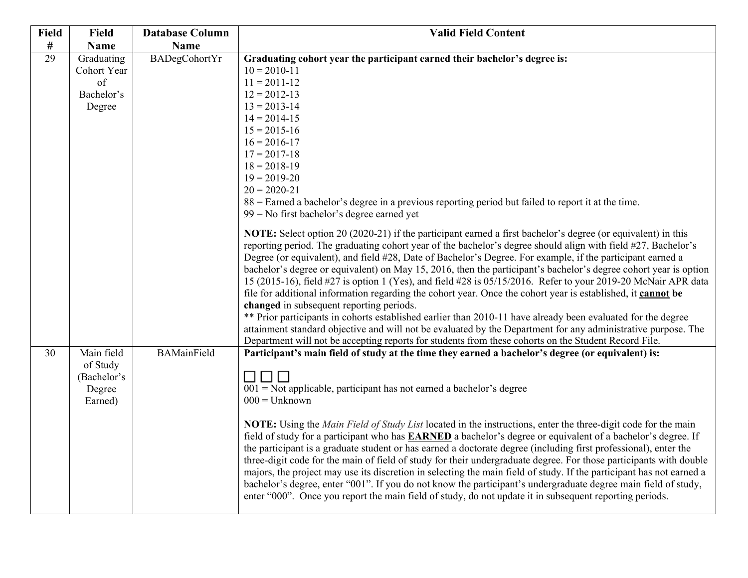| <b>Field</b> | <b>Field</b>      | <b>Database Column</b> | <b>Valid Field Content</b>                                                                                           |
|--------------|-------------------|------------------------|----------------------------------------------------------------------------------------------------------------------|
| $\#$         | <b>Name</b>       | <b>Name</b>            |                                                                                                                      |
| 29           | Graduating        | <b>BADegCohortYr</b>   | Graduating cohort year the participant earned their bachelor's degree is:                                            |
|              | Cohort Year       |                        | $10 = 2010 - 11$                                                                                                     |
|              | of                |                        | $11 = 2011 - 12$                                                                                                     |
|              | Bachelor's        |                        | $12 = 2012 - 13$                                                                                                     |
|              | Degree            |                        | $13 = 2013 - 14$                                                                                                     |
|              |                   |                        | $14 = 2014 - 15$                                                                                                     |
|              |                   |                        | $15 = 2015 - 16$<br>$16 = 2016 - 17$                                                                                 |
|              |                   |                        | $17 = 2017 - 18$                                                                                                     |
|              |                   |                        | $18 = 2018 - 19$                                                                                                     |
|              |                   |                        | $19 = 2019 - 20$                                                                                                     |
|              |                   |                        | $20 = 2020 - 21$                                                                                                     |
|              |                   |                        | 88 = Earned a bachelor's degree in a previous reporting period but failed to report it at the time.                  |
|              |                   |                        | $99 =$ No first bachelor's degree earned yet                                                                         |
|              |                   |                        | NOTE: Select option 20 (2020-21) if the participant earned a first bachelor's degree (or equivalent) in this         |
|              |                   |                        | reporting period. The graduating cohort year of the bachelor's degree should align with field #27, Bachelor's        |
|              |                   |                        | Degree (or equivalent), and field #28, Date of Bachelor's Degree. For example, if the participant earned a           |
|              |                   |                        | bachelor's degree or equivalent) on May 15, 2016, then the participant's bachelor's degree cohort year is option     |
|              |                   |                        | 15 (2015-16), field #27 is option 1 (Yes), and field #28 is 05/15/2016. Refer to your 2019-20 McNair APR data        |
|              |                   |                        | file for additional information regarding the cohort year. Once the cohort year is established, it cannot be         |
|              |                   |                        | changed in subsequent reporting periods.                                                                             |
|              |                   |                        | ** Prior participants in cohorts established earlier than 2010-11 have already been evaluated for the degree         |
|              |                   |                        | attainment standard objective and will not be evaluated by the Department for any administrative purpose. The        |
|              |                   |                        | Department will not be accepting reports for students from these cohorts on the Student Record File.                 |
| 30           | Main field        | <b>BAMainField</b>     | Participant's main field of study at the time they earned a bachelor's degree (or equivalent) is:                    |
|              | of Study          |                        |                                                                                                                      |
|              | (Bachelor's       |                        | $001$ = Not applicable, participant has not earned a bachelor's degree                                               |
|              | Degree<br>Earned) |                        | $000 =$ Unknown                                                                                                      |
|              |                   |                        |                                                                                                                      |
|              |                   |                        | NOTE: Using the Main Field of Study List located in the instructions, enter the three-digit code for the main        |
|              |                   |                        | field of study for a participant who has <b>EARNED</b> a bachelor's degree or equivalent of a bachelor's degree. If  |
|              |                   |                        | the participant is a graduate student or has earned a doctorate degree (including first professional), enter the     |
|              |                   |                        | three-digit code for the main of field of study for their undergraduate degree. For those participants with double   |
|              |                   |                        | majors, the project may use its discretion in selecting the main field of study. If the participant has not earned a |
|              |                   |                        | bachelor's degree, enter "001". If you do not know the participant's undergraduate degree main field of study,       |
|              |                   |                        | enter "000". Once you report the main field of study, do not update it in subsequent reporting periods.              |
|              |                   |                        |                                                                                                                      |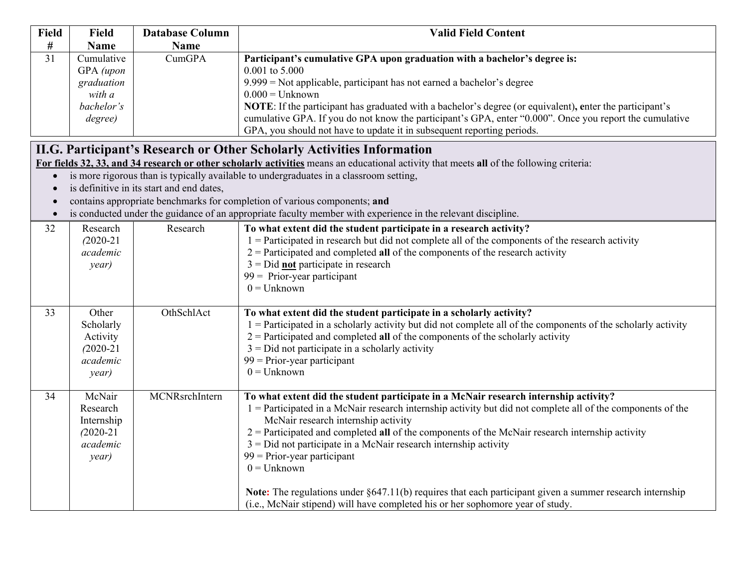| <b>Field</b> | <b>Field</b>  | <b>Database Column</b>                    | <b>Valid Field Content</b>                                                                                                               |
|--------------|---------------|-------------------------------------------|------------------------------------------------------------------------------------------------------------------------------------------|
| #            | <b>Name</b>   | <b>Name</b>                               |                                                                                                                                          |
| 31           | Cumulative    | <b>CumGPA</b>                             | Participant's cumulative GPA upon graduation with a bachelor's degree is:                                                                |
|              | GPA (upon     |                                           | 0.001 to 5.000                                                                                                                           |
|              | graduation    |                                           | $9.999$ = Not applicable, participant has not earned a bachelor's degree                                                                 |
|              | with a        |                                           | $0.000 =$ Unknown                                                                                                                        |
|              | bachelor's    |                                           | <b>NOTE:</b> If the participant has graduated with a bachelor's degree (or equivalent), enter the participant's                          |
|              | degree)       |                                           | cumulative GPA. If you do not know the participant's GPA, enter "0.000". Once you report the cumulative                                  |
|              |               |                                           | GPA, you should not have to update it in subsequent reporting periods.                                                                   |
|              |               |                                           | II.G. Participant's Research or Other Scholarly Activities Information                                                                   |
|              |               |                                           | For fields 32, 33, and 34 research or other scholarly activities means an educational activity that meets all of the following criteria: |
| $\bullet$    |               |                                           | is more rigorous than is typically available to undergraduates in a classroom setting,                                                   |
| $\bullet$    |               | is definitive in its start and end dates, |                                                                                                                                          |
|              |               |                                           | contains appropriate benchmarks for completion of various components; and                                                                |
| $\bullet$    |               |                                           | is conducted under the guidance of an appropriate faculty member with experience in the relevant discipline.                             |
| 32           | Research      | Research                                  | To what extent did the student participate in a research activity?                                                                       |
|              | $(2020 - 21)$ |                                           | $1 =$ Participated in research but did not complete all of the components of the research activity                                       |
|              | academic      |                                           | $2$ = Participated and completed all of the components of the research activity                                                          |
|              | year)         |                                           | $3 = Did$ not participate in research                                                                                                    |
|              |               |                                           | $99 =$ Prior-year participant                                                                                                            |
|              |               |                                           | $0 =$ Unknown                                                                                                                            |
|              |               |                                           |                                                                                                                                          |
| 33           | Other         | OthSchlAct                                | To what extent did the student participate in a scholarly activity?                                                                      |
|              | Scholarly     |                                           | $1$ = Participated in a scholarly activity but did not complete all of the components of the scholarly activity                          |
|              | Activity      |                                           | $2$ = Participated and completed all of the components of the scholarly activity                                                         |
|              | $(2020-21)$   |                                           | $3 = Did$ not participate in a scholarly activity                                                                                        |
|              | academic      |                                           | $99$ = Prior-year participant                                                                                                            |
|              | year)         |                                           | $0 =$ Unknown                                                                                                                            |
|              |               |                                           |                                                                                                                                          |
| 34           | McNair        | MCNRsrchIntern                            | To what extent did the student participate in a McNair research internship activity?                                                     |
|              | Research      |                                           | $1 =$ Participated in a McNair research internship activity but did not complete all of the components of the                            |
|              | Internship    |                                           | McNair research internship activity                                                                                                      |
|              | $(2020 - 21)$ |                                           | $2$ = Participated and completed all of the components of the McNair research internship activity                                        |
|              | academic      |                                           | $3 = Did$ not participate in a McNair research internship activity                                                                       |
|              | year)         |                                           | $99$ = Prior-year participant                                                                                                            |
|              |               |                                           | $0 =$ Unknown                                                                                                                            |
|              |               |                                           | Note: The regulations under §647.11(b) requires that each participant given a summer research internship                                 |
|              |               |                                           | (i.e., McNair stipend) will have completed his or her sophomore year of study.                                                           |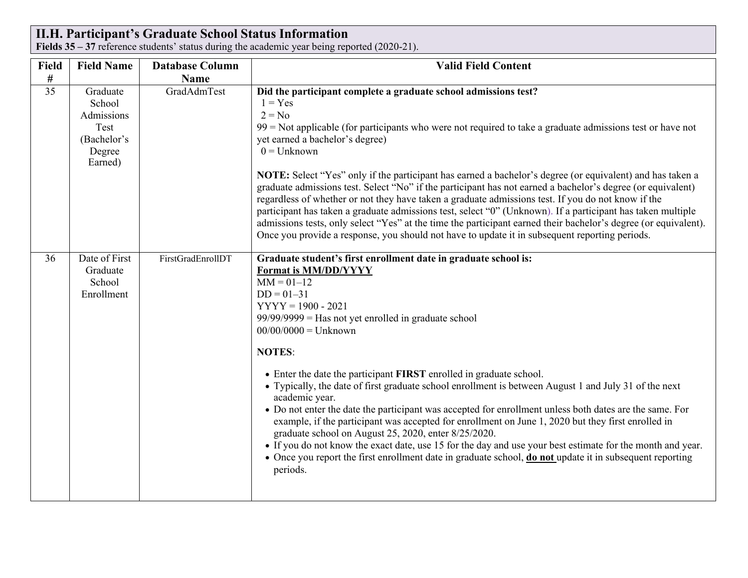# **II.H. Participant's Graduate School Status Information**

**Fields 35 – 37** reference students' status during the academic year being reported (2020-21).

| Field | <b>Field Name</b>                                                            | <b>Database Column</b> | <b>Valid Field Content</b>                                                                                                                                                                                                                                                                                                                                                                                                                                                                                                                                                                                                                                                                                                                                                                                                                                                                                                                                                       |
|-------|------------------------------------------------------------------------------|------------------------|----------------------------------------------------------------------------------------------------------------------------------------------------------------------------------------------------------------------------------------------------------------------------------------------------------------------------------------------------------------------------------------------------------------------------------------------------------------------------------------------------------------------------------------------------------------------------------------------------------------------------------------------------------------------------------------------------------------------------------------------------------------------------------------------------------------------------------------------------------------------------------------------------------------------------------------------------------------------------------|
| $\#$  |                                                                              | Name                   |                                                                                                                                                                                                                                                                                                                                                                                                                                                                                                                                                                                                                                                                                                                                                                                                                                                                                                                                                                                  |
| 35    | Graduate<br>School<br>Admissions<br>Test<br>(Bachelor's<br>Degree<br>Earned) | GradAdmTest            | Did the participant complete a graduate school admissions test?<br>$1 = Yes$<br>$2 = No$<br>$99$ = Not applicable (for participants who were not required to take a graduate admissions test or have not<br>yet earned a bachelor's degree)<br>$0 =$ Unknown<br>NOTE: Select "Yes" only if the participant has earned a bachelor's degree (or equivalent) and has taken a<br>graduate admissions test. Select "No" if the participant has not earned a bachelor's degree (or equivalent)<br>regardless of whether or not they have taken a graduate admissions test. If you do not know if the<br>participant has taken a graduate admissions test, select "0" (Unknown). If a participant has taken multiple<br>admissions tests, only select "Yes" at the time the participant earned their bachelor's degree (or equivalent).<br>Once you provide a response, you should not have to update it in subsequent reporting periods.                                               |
| 36    | Date of First<br>Graduate<br>School<br>Enrollment                            | FirstGradEnrollDT      | Graduate student's first enrollment date in graduate school is:<br>Format is MM/DD/YYYY<br>$MM = 01 - 12$<br>$DD = 01 - 31$<br>$YYYY = 1900 - 2021$<br>$99/99/9999$ = Has not yet enrolled in graduate school<br>$00/00/0000 =$ Unknown<br><b>NOTES:</b><br>• Enter the date the participant FIRST enrolled in graduate school.<br>• Typically, the date of first graduate school enrollment is between August 1 and July 31 of the next<br>academic year.<br>• Do not enter the date the participant was accepted for enrollment unless both dates are the same. For<br>example, if the participant was accepted for enrollment on June 1, 2020 but they first enrolled in<br>graduate school on August 25, 2020, enter 8/25/2020.<br>• If you do not know the exact date, use 15 for the day and use your best estimate for the month and year.<br>• Once you report the first enrollment date in graduate school, <b>do not</b> update it in subsequent reporting<br>periods. |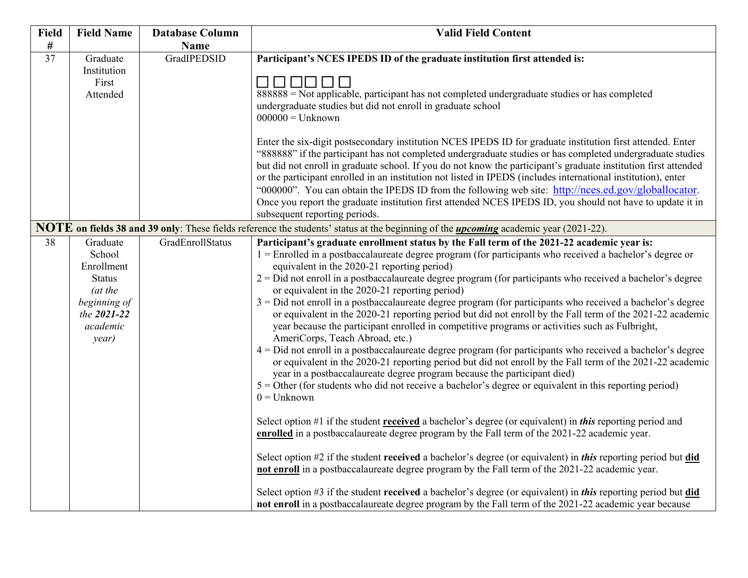| <b>Field</b>    | <b>Field Name</b>                                                                                                | <b>Database Column</b>  | <b>Valid Field Content</b>                                                                                                                                                                                                                                                                                                                                                                                                                                                                                                                                                                                                                                                                                                                                                                                                                                                                                                                                                                                                                                                                                                                                                                                                                                                                                                                                                                                                                                                                                                                                                                                                                                                                                                                                                                                                                                                                            |
|-----------------|------------------------------------------------------------------------------------------------------------------|-------------------------|-------------------------------------------------------------------------------------------------------------------------------------------------------------------------------------------------------------------------------------------------------------------------------------------------------------------------------------------------------------------------------------------------------------------------------------------------------------------------------------------------------------------------------------------------------------------------------------------------------------------------------------------------------------------------------------------------------------------------------------------------------------------------------------------------------------------------------------------------------------------------------------------------------------------------------------------------------------------------------------------------------------------------------------------------------------------------------------------------------------------------------------------------------------------------------------------------------------------------------------------------------------------------------------------------------------------------------------------------------------------------------------------------------------------------------------------------------------------------------------------------------------------------------------------------------------------------------------------------------------------------------------------------------------------------------------------------------------------------------------------------------------------------------------------------------------------------------------------------------------------------------------------------------|
| $\#$            |                                                                                                                  | <b>Name</b>             |                                                                                                                                                                                                                                                                                                                                                                                                                                                                                                                                                                                                                                                                                                                                                                                                                                                                                                                                                                                                                                                                                                                                                                                                                                                                                                                                                                                                                                                                                                                                                                                                                                                                                                                                                                                                                                                                                                       |
| $\overline{37}$ | Graduate<br>Institution<br>First<br>Attended                                                                     | GradIPEDSID             | Participant's NCES IPEDS ID of the graduate institution first attended is:<br>888888 = Not applicable, participant has not completed undergraduate studies or has completed<br>undergraduate studies but did not enroll in graduate school<br>$000000 =$ Unknown<br>Enter the six-digit postsecondary institution NCES IPEDS ID for graduate institution first attended. Enter<br>"888888" if the participant has not completed undergraduate studies or has completed undergraduate studies<br>but did not enroll in graduate school. If you do not know the participant's graduate institution first attended<br>or the participant enrolled in an institution not listed in IPEDS (includes international institution), enter<br>"000000". You can obtain the IPEDS ID from the following web site: http://nces.ed.gov/globallocator.<br>Once you report the graduate institution first attended NCES IPEDS ID, you should not have to update it in                                                                                                                                                                                                                                                                                                                                                                                                                                                                                                                                                                                                                                                                                                                                                                                                                                                                                                                                                |
|                 |                                                                                                                  |                         | subsequent reporting periods.                                                                                                                                                                                                                                                                                                                                                                                                                                                                                                                                                                                                                                                                                                                                                                                                                                                                                                                                                                                                                                                                                                                                                                                                                                                                                                                                                                                                                                                                                                                                                                                                                                                                                                                                                                                                                                                                         |
|                 |                                                                                                                  |                         | NOTE on fields 38 and 39 only: These fields reference the students' status at the beginning of the <i>upcoming</i> academic year (2021-22).                                                                                                                                                                                                                                                                                                                                                                                                                                                                                                                                                                                                                                                                                                                                                                                                                                                                                                                                                                                                                                                                                                                                                                                                                                                                                                                                                                                                                                                                                                                                                                                                                                                                                                                                                           |
| 38              | Graduate<br>School<br>Enrollment<br><b>Status</b><br>(at the<br>beginning of<br>the 2021-22<br>academic<br>year) | <b>GradEnrollStatus</b> | Participant's graduate enrollment status by the Fall term of the 2021-22 academic year is:<br>1 = Enrolled in a postbaccalaureate degree program (for participants who received a bachelor's degree or<br>equivalent in the 2020-21 reporting period)<br>$2 = Did$ not enroll in a postbaccalaureate degree program (for participants who received a bachelor's degree<br>or equivalent in the 2020-21 reporting period)<br>$3 =$ Did not enroll in a postbaccalaureate degree program (for participants who received a bachelor's degree<br>or equivalent in the 2020-21 reporting period but did not enroll by the Fall term of the 2021-22 academic<br>year because the participant enrolled in competitive programs or activities such as Fulbright,<br>AmeriCorps, Teach Abroad, etc.)<br>4 = Did not enroll in a postbaccalaureate degree program (for participants who received a bachelor's degree<br>or equivalent in the 2020-21 reporting period but did not enroll by the Fall term of the 2021-22 academic<br>year in a postbaccalaureate degree program because the participant died)<br>$5 =$ Other (for students who did not receive a bachelor's degree or equivalent in this reporting period)<br>$0 =$ Unknown<br>Select option #1 if the student received a bachelor's degree (or equivalent) in <i>this</i> reporting period and<br>enrolled in a postbaccalaureate degree program by the Fall term of the 2021-22 academic year.<br>Select option #2 if the student received a bachelor's degree (or equivalent) in this reporting period but did<br>not enroll in a postbaccalaureate degree program by the Fall term of the 2021-22 academic year.<br>Select option #3 if the student received a bachelor's degree (or equivalent) in this reporting period but did<br>not enroll in a postbaccalaureate degree program by the Fall term of the 2021-22 academic year because |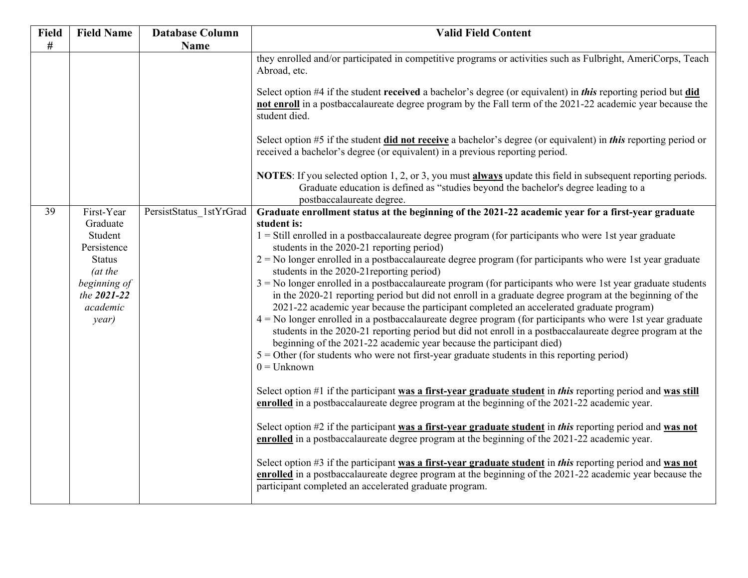| Field | <b>Field Name</b>                       | <b>Database Column</b>  | <b>Valid Field Content</b>                                                                                                                                                                                                                                                                                                                                  |
|-------|-----------------------------------------|-------------------------|-------------------------------------------------------------------------------------------------------------------------------------------------------------------------------------------------------------------------------------------------------------------------------------------------------------------------------------------------------------|
| $\#$  |                                         | Name                    |                                                                                                                                                                                                                                                                                                                                                             |
|       |                                         |                         | they enrolled and/or participated in competitive programs or activities such as Fulbright, AmeriCorps, Teach<br>Abroad, etc.<br>Select option #4 if the student received a bachelor's degree (or equivalent) in this reporting period but did<br>not enroll in a postbaccalaureate degree program by the Fall term of the 2021-22 academic year because the |
|       |                                         |                         | student died.                                                                                                                                                                                                                                                                                                                                               |
|       |                                         |                         | Select option #5 if the student did not receive a bachelor's degree (or equivalent) in this reporting period or<br>received a bachelor's degree (or equivalent) in a previous reporting period.                                                                                                                                                             |
|       |                                         |                         | NOTES: If you selected option 1, 2, or 3, you must always update this field in subsequent reporting periods.<br>Graduate education is defined as "studies beyond the bachelor's degree leading to a<br>postbaccalaureate degree.                                                                                                                            |
| 39    | First-Year                              | PersistStatus 1stYrGrad | Graduate enrollment status at the beginning of the 2021-22 academic year for a first-year graduate                                                                                                                                                                                                                                                          |
|       | Graduate                                |                         | student is:                                                                                                                                                                                                                                                                                                                                                 |
|       | Student<br>Persistence                  |                         | $1 = Still$ enrolled in a postbaccalaureate degree program (for participants who were 1st year graduate<br>students in the 2020-21 reporting period)                                                                                                                                                                                                        |
|       | <b>Status</b>                           |                         | $2 =$ No longer enrolled in a postbaccalaureate degree program (for participants who were 1st year graduate                                                                                                                                                                                                                                                 |
|       | (at the                                 |                         | students in the 2020-21 reporting period)                                                                                                                                                                                                                                                                                                                   |
|       | beginning of<br>the 2021-22<br>academic |                         | $3 =$ No longer enrolled in a postbaccalaureate program (for participants who were 1st year graduate students<br>in the 2020-21 reporting period but did not enroll in a graduate degree program at the beginning of the<br>2021-22 academic year because the participant completed an accelerated graduate program)                                        |
|       | year)                                   |                         | $4 =$ No longer enrolled in a postbaccalaureate degree program (for participants who were 1st year graduate<br>students in the 2020-21 reporting period but did not enroll in a postbaccalaureate degree program at the<br>beginning of the 2021-22 academic year because the participant died)                                                             |
|       |                                         |                         | $5 =$ Other (for students who were not first-year graduate students in this reporting period)                                                                                                                                                                                                                                                               |
|       |                                         |                         | $0 =$ Unknown                                                                                                                                                                                                                                                                                                                                               |
|       |                                         |                         | Select option #1 if the participant was a first-year graduate student in this reporting period and was still<br>enrolled in a postbaccalaureate degree program at the beginning of the 2021-22 academic year.                                                                                                                                               |
|       |                                         |                         | Select option #2 if the participant was a first-year graduate student in this reporting period and was not<br>enrolled in a postbaccalaureate degree program at the beginning of the 2021-22 academic year.                                                                                                                                                 |
|       |                                         |                         | Select option #3 if the participant was a first-year graduate student in this reporting period and was not<br>enrolled in a postbaccalaureate degree program at the beginning of the 2021-22 academic year because the<br>participant completed an accelerated graduate program.                                                                            |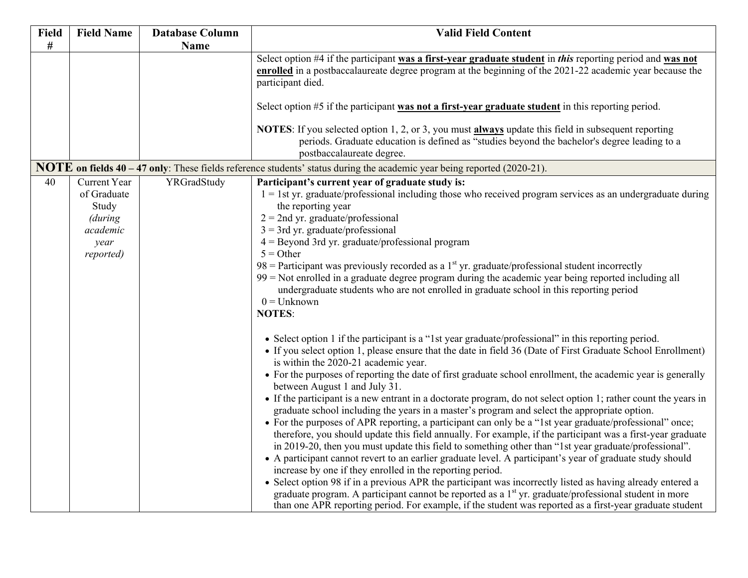| Field | <b>Field Name</b>                                                                       | <b>Database Column</b> | <b>Valid Field Content</b>                                                                                                                                                                                                                                                                                                                                                                                                                                                                                                                                                                                                                                                                                                                                                                                                                                                                                                                                                                                                                                                                                                                                                                                                                                                                                                                                                                                                                                                                                                                                                                                                                                                                                                                                                                                                                                                                                                                                                                                                                                                                                                                                                                 |
|-------|-----------------------------------------------------------------------------------------|------------------------|--------------------------------------------------------------------------------------------------------------------------------------------------------------------------------------------------------------------------------------------------------------------------------------------------------------------------------------------------------------------------------------------------------------------------------------------------------------------------------------------------------------------------------------------------------------------------------------------------------------------------------------------------------------------------------------------------------------------------------------------------------------------------------------------------------------------------------------------------------------------------------------------------------------------------------------------------------------------------------------------------------------------------------------------------------------------------------------------------------------------------------------------------------------------------------------------------------------------------------------------------------------------------------------------------------------------------------------------------------------------------------------------------------------------------------------------------------------------------------------------------------------------------------------------------------------------------------------------------------------------------------------------------------------------------------------------------------------------------------------------------------------------------------------------------------------------------------------------------------------------------------------------------------------------------------------------------------------------------------------------------------------------------------------------------------------------------------------------------------------------------------------------------------------------------------------------|
| $\#$  |                                                                                         | <b>Name</b>            |                                                                                                                                                                                                                                                                                                                                                                                                                                                                                                                                                                                                                                                                                                                                                                                                                                                                                                                                                                                                                                                                                                                                                                                                                                                                                                                                                                                                                                                                                                                                                                                                                                                                                                                                                                                                                                                                                                                                                                                                                                                                                                                                                                                            |
|       |                                                                                         |                        | Select option #4 if the participant was a first-year graduate student in this reporting period and was not<br>enrolled in a postbaccalaureate degree program at the beginning of the 2021-22 academic year because the<br>participant died.                                                                                                                                                                                                                                                                                                                                                                                                                                                                                                                                                                                                                                                                                                                                                                                                                                                                                                                                                                                                                                                                                                                                                                                                                                                                                                                                                                                                                                                                                                                                                                                                                                                                                                                                                                                                                                                                                                                                                |
|       |                                                                                         |                        | Select option $#5$ if the participant was not a first-year graduate student in this reporting period.                                                                                                                                                                                                                                                                                                                                                                                                                                                                                                                                                                                                                                                                                                                                                                                                                                                                                                                                                                                                                                                                                                                                                                                                                                                                                                                                                                                                                                                                                                                                                                                                                                                                                                                                                                                                                                                                                                                                                                                                                                                                                      |
|       |                                                                                         |                        | NOTES: If you selected option 1, 2, or 3, you must always update this field in subsequent reporting<br>periods. Graduate education is defined as "studies beyond the bachelor's degree leading to a<br>postbaccalaureate degree.                                                                                                                                                                                                                                                                                                                                                                                                                                                                                                                                                                                                                                                                                                                                                                                                                                                                                                                                                                                                                                                                                                                                                                                                                                                                                                                                                                                                                                                                                                                                                                                                                                                                                                                                                                                                                                                                                                                                                           |
|       |                                                                                         |                        | NOTE on fields 40 – 47 only: These fields reference students' status during the academic year being reported (2020-21).                                                                                                                                                                                                                                                                                                                                                                                                                                                                                                                                                                                                                                                                                                                                                                                                                                                                                                                                                                                                                                                                                                                                                                                                                                                                                                                                                                                                                                                                                                                                                                                                                                                                                                                                                                                                                                                                                                                                                                                                                                                                    |
| 40    | <b>Current Year</b><br>of Graduate<br>Study<br>(during<br>academic<br>year<br>reported) | YRGradStudy            | Participant's current year of graduate study is:<br>$1 = 1$ st yr. graduate/professional including those who received program services as an undergraduate during<br>the reporting year<br>$2 = 2$ nd yr. graduate/professional<br>$3 = 3$ rd yr. graduate/professional<br>$4 = Beyond 3rd yr. graduate/professional program$<br>$5 =$ Other<br>$98$ = Participant was previously recorded as a 1 <sup>st</sup> yr. graduate/professional student incorrectly<br>$99$ = Not enrolled in a graduate degree program during the academic year being reported including all<br>undergraduate students who are not enrolled in graduate school in this reporting period<br>$0 =$ Unknown<br><b>NOTES:</b><br>• Select option 1 if the participant is a "1st year graduate/professional" in this reporting period.<br>• If you select option 1, please ensure that the date in field 36 (Date of First Graduate School Enrollment)<br>is within the 2020-21 academic year.<br>• For the purposes of reporting the date of first graduate school enrollment, the academic year is generally<br>between August 1 and July 31.<br>• If the participant is a new entrant in a doctorate program, do not select option 1; rather count the years in<br>graduate school including the years in a master's program and select the appropriate option.<br>• For the purposes of APR reporting, a participant can only be a "1st year graduate/professional" once;<br>therefore, you should update this field annually. For example, if the participant was a first-year graduate<br>in 2019-20, then you must update this field to something other than "1st year graduate/professional".<br>• A participant cannot revert to an earlier graduate level. A participant's year of graduate study should<br>increase by one if they enrolled in the reporting period.<br>• Select option 98 if in a previous APR the participant was incorrectly listed as having already entered a<br>graduate program. A participant cannot be reported as a $1st$ yr. graduate/professional student in more<br>than one APR reporting period. For example, if the student was reported as a first-year graduate student |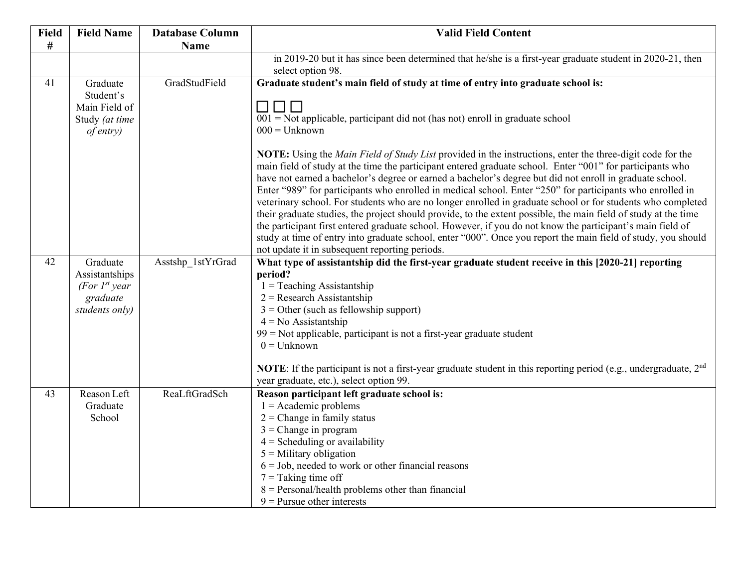| <b>Field</b> | <b>Field Name</b>  | <b>Database Column</b> | <b>Valid Field Content</b>                                                                                                     |
|--------------|--------------------|------------------------|--------------------------------------------------------------------------------------------------------------------------------|
| #            |                    | <b>Name</b>            |                                                                                                                                |
|              |                    |                        | in 2019-20 but it has since been determined that he/she is a first-year graduate student in 2020-21, then<br>select option 98. |
| 41           | Graduate           | GradStudField          | Graduate student's main field of study at time of entry into graduate school is:                                               |
|              | Student's          |                        |                                                                                                                                |
|              | Main Field of      |                        | $\Box$                                                                                                                         |
|              | Study (at time     |                        | $001$ = Not applicable, participant did not (has not) enroll in graduate school                                                |
|              | <i>of entry</i> )  |                        | $000 =$ Unknown                                                                                                                |
|              |                    |                        | <b>NOTE:</b> Using the <i>Main Field of Study List</i> provided in the instructions, enter the three-digit code for the        |
|              |                    |                        | main field of study at the time the participant entered graduate school. Enter "001" for participants who                      |
|              |                    |                        | have not earned a bachelor's degree or earned a bachelor's degree but did not enroll in graduate school.                       |
|              |                    |                        | Enter "989" for participants who enrolled in medical school. Enter "250" for participants who enrolled in                      |
|              |                    |                        | veterinary school. For students who are no longer enrolled in graduate school or for students who completed                    |
|              |                    |                        | their graduate studies, the project should provide, to the extent possible, the main field of study at the time                |
|              |                    |                        | the participant first entered graduate school. However, if you do not know the participant's main field of                     |
|              |                    |                        | study at time of entry into graduate school, enter "000". Once you report the main field of study, you should                  |
|              |                    |                        | not update it in subsequent reporting periods.                                                                                 |
| 42           | Graduate           | Asstshp 1stYrGrad      | What type of assistantship did the first-year graduate student receive in this [2020-21] reporting                             |
|              | Assistantships     |                        | period?                                                                                                                        |
|              | (For $I^{st}$ year |                        | $1 =$ Teaching Assistantship                                                                                                   |
|              | graduate           |                        | $2 =$ Research Assistantship                                                                                                   |
|              | students only)     |                        | $3 =$ Other (such as fellowship support)<br>$4 = No$ Assistantship                                                             |
|              |                    |                        | 99 = Not applicable, participant is not a first-year graduate student                                                          |
|              |                    |                        | $0 =$ Unknown                                                                                                                  |
|              |                    |                        |                                                                                                                                |
|              |                    |                        | NOTE: If the participant is not a first-year graduate student in this reporting period (e.g., undergraduate, $2nd$             |
|              |                    |                        | year graduate, etc.), select option 99.                                                                                        |
| 43           | Reason Left        | ReaLftGradSch          | Reason participant left graduate school is:                                                                                    |
|              | Graduate           |                        | $1 =$ Academic problems                                                                                                        |
|              | School             |                        | $2$ = Change in family status                                                                                                  |
|              |                    |                        | $3$ = Change in program                                                                                                        |
|              |                    |                        | $4 = S$ cheduling or availability                                                                                              |
|              |                    |                        | $5$ = Military obligation                                                                                                      |
|              |                    |                        | $6 =$ Job, needed to work or other financial reasons                                                                           |
|              |                    |                        | $7 =$ Taking time off                                                                                                          |
|              |                    |                        | $8 =$ Personal/health problems other than financial                                                                            |
|              |                    |                        | $9$ = Pursue other interests                                                                                                   |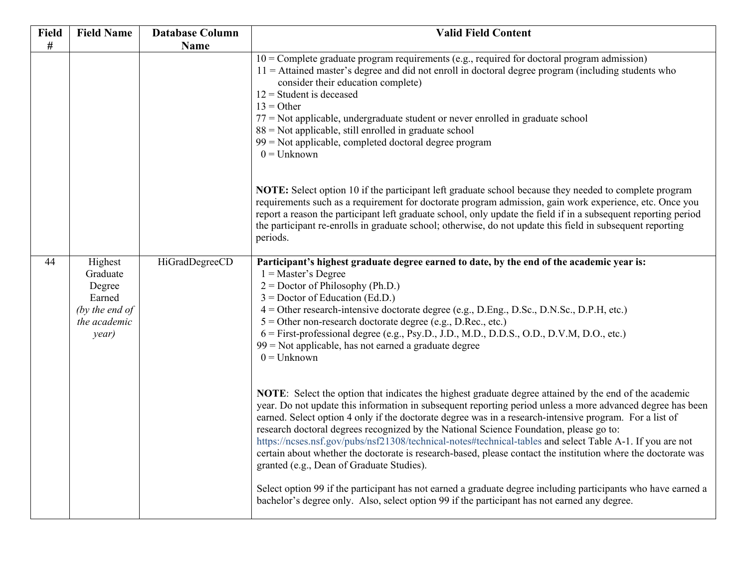| <b>Field</b> | <b>Field Name</b>                                                                  | <b>Database Column</b> | <b>Valid Field Content</b>                                                                                                                                                                                                                                                                                                                                                                                                                                                                                                                                                                                                                                                                           |
|--------------|------------------------------------------------------------------------------------|------------------------|------------------------------------------------------------------------------------------------------------------------------------------------------------------------------------------------------------------------------------------------------------------------------------------------------------------------------------------------------------------------------------------------------------------------------------------------------------------------------------------------------------------------------------------------------------------------------------------------------------------------------------------------------------------------------------------------------|
| #            |                                                                                    | Name                   |                                                                                                                                                                                                                                                                                                                                                                                                                                                                                                                                                                                                                                                                                                      |
|              |                                                                                    |                        | $10 =$ Complete graduate program requirements (e.g., required for doctoral program admission)<br>$11 =$ Attained master's degree and did not enroll in doctoral degree program (including students who<br>consider their education complete)<br>$12$ = Student is deceased<br>$13 = Other$<br>$77$ = Not applicable, undergraduate student or never enrolled in graduate school<br>$88 =$ Not applicable, still enrolled in graduate school<br>$99$ = Not applicable, completed doctoral degree program<br>$0 =$ Unknown                                                                                                                                                                             |
|              |                                                                                    |                        | NOTE: Select option 10 if the participant left graduate school because they needed to complete program<br>requirements such as a requirement for doctorate program admission, gain work experience, etc. Once you<br>report a reason the participant left graduate school, only update the field if in a subsequent reporting period<br>the participant re-enrolls in graduate school; otherwise, do not update this field in subsequent reporting<br>periods.                                                                                                                                                                                                                                       |
| 44           | Highest<br>Graduate<br>Degree<br>Earned<br>(by the end of<br>the academic<br>year) | HiGradDegreeCD         | Participant's highest graduate degree earned to date, by the end of the academic year is:<br>$1 = Master's Degree$<br>$2 =$ Doctor of Philosophy (Ph.D.)<br>$3 =$ Doctor of Education (Ed.D.)<br>4 = Other research-intensive doctorate degree (e.g., D.Eng., D.Sc., D.N.Sc., D.P.H, etc.)<br>$5 =$ Other non-research doctorate degree (e.g., D.Rec., etc.)<br>6 = First-professional degree (e.g., Psy.D., J.D., M.D., D.D.S., O.D., D.V.M, D.O., etc.)<br>$99$ = Not applicable, has not earned a graduate degree<br>$0 =$ Unknown                                                                                                                                                                |
|              |                                                                                    |                        | NOTE: Select the option that indicates the highest graduate degree attained by the end of the academic<br>year. Do not update this information in subsequent reporting period unless a more advanced degree has been<br>earned. Select option 4 only if the doctorate degree was in a research-intensive program. For a list of<br>research doctoral degrees recognized by the National Science Foundation, please go to:<br>https://ncses.nsf.gov/pubs/nsf21308/technical-notes#technical-tables and select Table A-1. If you are not<br>certain about whether the doctorate is research-based, please contact the institution where the doctorate was<br>granted (e.g., Dean of Graduate Studies). |
|              |                                                                                    |                        | Select option 99 if the participant has not earned a graduate degree including participants who have earned a<br>bachelor's degree only. Also, select option 99 if the participant has not earned any degree.                                                                                                                                                                                                                                                                                                                                                                                                                                                                                        |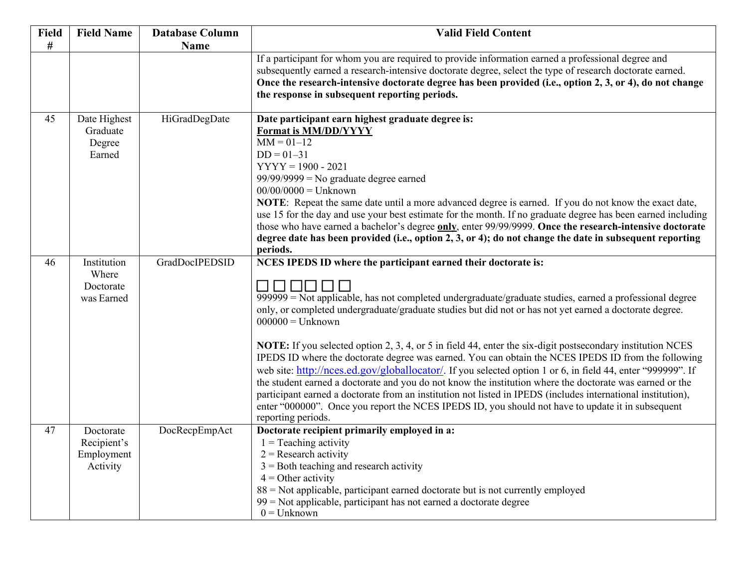| Field | <b>Field Name</b>                                  | <b>Database Column</b> | <b>Valid Field Content</b>                                                                                                                                                                                                                                                                                                                                                                                                                                                                                                                                                                                                                                                                                                                                                                                                                                                                                                                                                                                                                    |
|-------|----------------------------------------------------|------------------------|-----------------------------------------------------------------------------------------------------------------------------------------------------------------------------------------------------------------------------------------------------------------------------------------------------------------------------------------------------------------------------------------------------------------------------------------------------------------------------------------------------------------------------------------------------------------------------------------------------------------------------------------------------------------------------------------------------------------------------------------------------------------------------------------------------------------------------------------------------------------------------------------------------------------------------------------------------------------------------------------------------------------------------------------------|
| $\#$  |                                                    | <b>Name</b>            |                                                                                                                                                                                                                                                                                                                                                                                                                                                                                                                                                                                                                                                                                                                                                                                                                                                                                                                                                                                                                                               |
|       |                                                    |                        | If a participant for whom you are required to provide information earned a professional degree and<br>subsequently earned a research-intensive doctorate degree, select the type of research doctorate earned.<br>Once the research-intensive doctorate degree has been provided (i.e., option 2, 3, or 4), do not change<br>the response in subsequent reporting periods.                                                                                                                                                                                                                                                                                                                                                                                                                                                                                                                                                                                                                                                                    |
| 45    | Date Highest<br>Graduate<br>Degree<br>Earned       | HiGradDegDate          | Date participant earn highest graduate degree is:<br>Format is MM/DD/YYYY<br>$MM = 01 - 12$<br>$DD = 01 - 31$<br>$YYYY = 1900 - 2021$<br>$99/99/9999 = No$ graduate degree earned<br>$00/00/0000 =$ Unknown<br>NOTE: Repeat the same date until a more advanced degree is earned. If you do not know the exact date,<br>use 15 for the day and use your best estimate for the month. If no graduate degree has been earned including<br>those who have earned a bachelor's degree only, enter 99/99/9999. Once the research-intensive doctorate<br>degree date has been provided (i.e., option 2, 3, or 4); do not change the date in subsequent reporting<br>periods.                                                                                                                                                                                                                                                                                                                                                                        |
| 46    | Institution<br>Where<br>Doctorate<br>was Earned    | GradDocIPEDSID         | NCES IPEDS ID where the participant earned their doctorate is:<br>N N N N<br>$\mathsf{L}$<br>$\overline{999999}$ = Not applicable, has not completed undergraduate/graduate studies, earned a professional degree<br>only, or completed undergraduate/graduate studies but did not or has not yet earned a doctorate degree.<br>$000000 =$ Unknown<br>NOTE: If you selected option 2, 3, 4, or 5 in field 44, enter the six-digit postsecondary institution NCES<br>IPEDS ID where the doctorate degree was earned. You can obtain the NCES IPEDS ID from the following<br>web site: http://nces.ed.gov/globallocator/. If you selected option 1 or 6, in field 44, enter "999999". If<br>the student earned a doctorate and you do not know the institution where the doctorate was earned or the<br>participant earned a doctorate from an institution not listed in IPEDS (includes international institution),<br>enter "000000". Once you report the NCES IPEDS ID, you should not have to update it in subsequent<br>reporting periods. |
| 47    | Doctorate<br>Recipient's<br>Employment<br>Activity | DocRecpEmpAct          | Doctorate recipient primarily employed in a:<br>$1 =$ Teaching activity<br>$2 =$ Research activity<br>$3 =$ Both teaching and research activity<br>$4 =$ Other activity<br>88 = Not applicable, participant earned doctorate but is not currently employed<br>99 = Not applicable, participant has not earned a doctorate degree<br>$0 =$ Unknown                                                                                                                                                                                                                                                                                                                                                                                                                                                                                                                                                                                                                                                                                             |